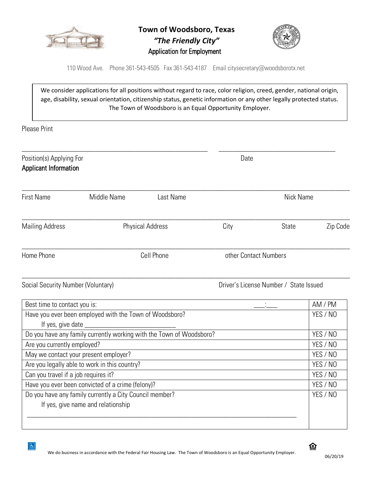

**Town of Woodsboro, Texas** *"The Friendly City"* Application for Employment



110 Wood Ave. Phone 361-543-4505 Fax 361-543-4187 Email citysecretary@woodsborotx.net

We consider applications for all positions without regard to race, color religion, creed, gender, national origin, age, disability, sexual orientation, citizenship status, genetic information or any other legally protected status. The Town of Woodsboro is an Equal Opportunity Employer.

Please Print

 $\boxed{2}$ 

| Position(s) Applying For<br><b>Applicant Information</b> |                                                                                               |                         | Date                  |                                        |          |
|----------------------------------------------------------|-----------------------------------------------------------------------------------------------|-------------------------|-----------------------|----------------------------------------|----------|
| <b>First Name</b>                                        | Middle Name                                                                                   | Last Name               |                       | <b>Nick Name</b>                       |          |
| <b>Mailing Address</b>                                   |                                                                                               | <b>Physical Address</b> | City                  | <b>State</b>                           | Zip Code |
| Home Phone                                               |                                                                                               | Cell Phone              | other Contact Numbers |                                        |          |
| Social Security Number (Voluntary)                       |                                                                                               |                         |                       | Driver's License Number / State Issued |          |
| Best time to contact you is:                             |                                                                                               |                         |                       |                                        | AM / PM  |
|                                                          | Have you ever been employed with the Town of Woodsboro?                                       |                         |                       |                                        | YES / NO |
|                                                          | Do you have any family currently working with the Town of Woodsboro?                          |                         |                       |                                        | YES / NO |
| Are you currently employed?                              |                                                                                               |                         |                       |                                        | YES / NO |
| May we contact your present employer?                    |                                                                                               |                         |                       | YES / NO                               |          |
| Are you legally able to work in this country?            |                                                                                               |                         |                       | YES / NO                               |          |
| Can you travel if a job requires it?                     |                                                                                               |                         |                       | YES / NO                               |          |
| Have you ever been convicted of a crime (felony)?        |                                                                                               |                         |                       | YES / NO                               |          |
|                                                          | Do you have any family currently a City Council member?<br>If yes, give name and relationship |                         |                       |                                        | YES / NO |

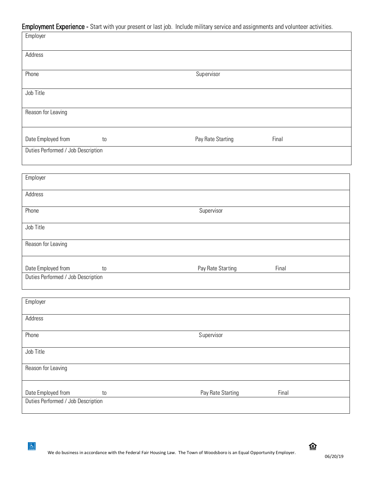|                                    |    | Employment Experience - Start with your present or last job. Include military service and assignments and volunteer activities. |       |  |
|------------------------------------|----|---------------------------------------------------------------------------------------------------------------------------------|-------|--|
| Employer                           |    |                                                                                                                                 |       |  |
| Address                            |    |                                                                                                                                 |       |  |
| Phone                              |    | Supervisor                                                                                                                      |       |  |
| Job Title                          |    |                                                                                                                                 |       |  |
| Reason for Leaving                 |    |                                                                                                                                 |       |  |
| Date Employed from                 | to | Pay Rate Starting                                                                                                               | Final |  |
| Duties Performed / Job Description |    |                                                                                                                                 |       |  |
| Employer                           |    |                                                                                                                                 |       |  |
| Address                            |    |                                                                                                                                 |       |  |
| Phone                              |    | Supervisor                                                                                                                      |       |  |
| Job Title                          |    |                                                                                                                                 |       |  |
| Reason for Leaving                 |    |                                                                                                                                 |       |  |
| Date Employed from                 | to | Pay Rate Starting                                                                                                               | Final |  |
| Duties Performed / Job Description |    |                                                                                                                                 |       |  |
| Employer                           |    |                                                                                                                                 |       |  |
| Address                            |    |                                                                                                                                 |       |  |
| Phone                              |    | Supervisor                                                                                                                      |       |  |
| Job Title                          |    |                                                                                                                                 |       |  |
| Reason for Leaving                 |    |                                                                                                                                 |       |  |

| <b>HOUGH TOI LOUTING</b>           |    |                   |       |  |
|------------------------------------|----|-------------------|-------|--|
| Date Employed from                 | to | Pay Rate Starting | Final |  |
| Duties Performed / Job Description |    |                   |       |  |

 $\boxed{\underline{\mathbf{r}}}$ 

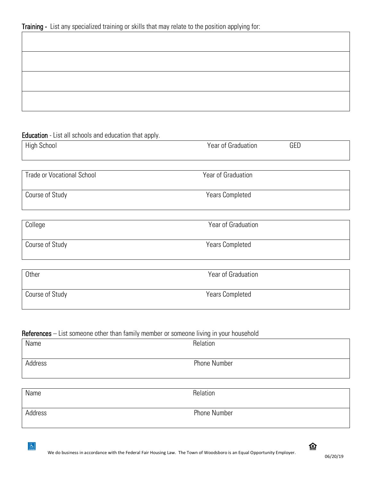## Education - List all schools and education that apply.

| <b>High School</b>                | GED<br>Year of Graduation |  |
|-----------------------------------|---------------------------|--|
| <b>Trade or Vocational School</b> | Year of Graduation        |  |
| Course of Study                   | <b>Years Completed</b>    |  |
| College                           | Year of Graduation        |  |
| Course of Study                   | <b>Years Completed</b>    |  |
| Other                             | Year of Graduation        |  |
| Course of Study                   | <b>Years Completed</b>    |  |

## References – List someone other than family member or someone living in your household

| Name    | Relation            |
|---------|---------------------|
| Address | <b>Phone Number</b> |
|         |                     |

| Name    | Relation            |
|---------|---------------------|
| Address | <b>Phone Number</b> |